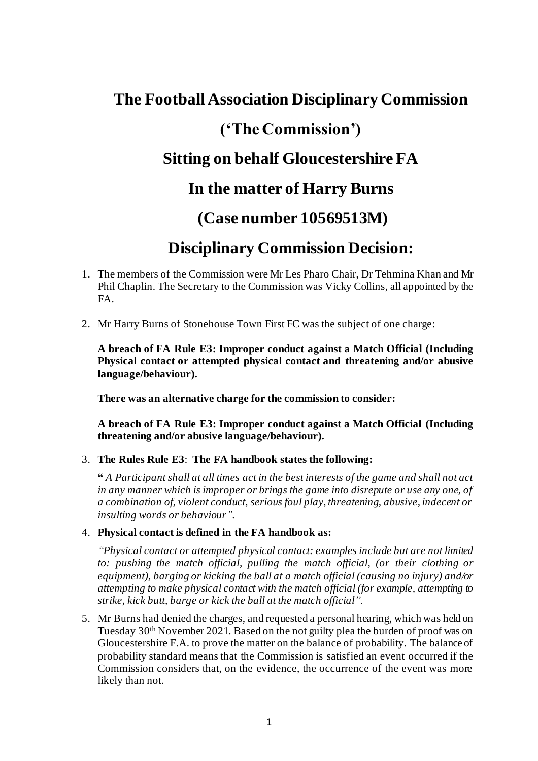# **The Football Association Disciplinary Commission ('The Commission') Sitting on behalf Gloucestershire FA In the matter of Harry Burns (Case number 10569513M)**

## **Disciplinary Commission Decision:**

- 1. The members of the Commission were Mr Les Pharo Chair, Dr Tehmina Khan and Mr Phil Chaplin. The Secretary to the Commission was Vicky Collins, all appointed by the FA.
- 2. Mr Harry Burns of Stonehouse Town First FC was the subject of one charge:

**A breach of FA Rule E3: Improper conduct against a Match Official (Including Physical contact or attempted physical contact and threatening and/or abusive language/behaviour).**

**There was an alternative charge for the commission to consider:**

**A breach of FA Rule E3: Improper conduct against a Match Official (Including threatening and/or abusive language/behaviour).**

#### 3. **The Rules Rule E3**: **The FA handbook states the following:**

**"** *A Participant shall at all times act in the best interests of the game and shall not act in any manner which is improper or brings the game into disrepute or use any one, of a combination of, violent conduct, serious foul play, threatening, abusive, indecent or insulting words or behaviour".*

#### 4. **Physical contact is defined in the FA handbook as:**

*"Physical contact or attempted physical contact: examples include but are not limited to: pushing the match official, pulling the match official, (or their clothing or equipment), barging or kicking the ball at a match official (causing no injury) and/or attempting to make physical contact with the match official (for example, attempting to strike, kick butt, barge or kick the ball at the match official".*

5. Mr Burns had denied the charges, and requested a personal hearing, which was held on Tuesday 30th November 2021. Based on the not guilty plea the burden of proof was on Gloucestershire F.A. to prove the matter on the balance of probability. The balance of probability standard means that the Commission is satisfied an event occurred if the Commission considers that, on the evidence, the occurrence of the event was more likely than not.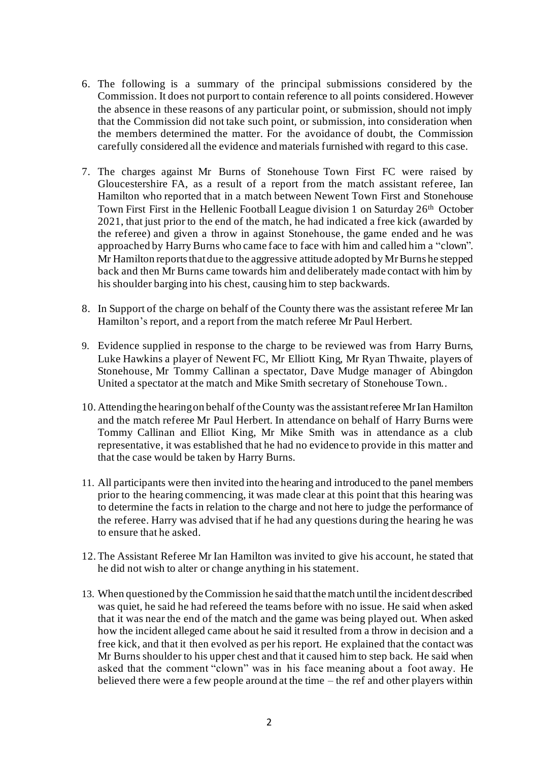- 6. The following is a summary of the principal submissions considered by the Commission. It does not purport to contain reference to all points considered. However the absence in these reasons of any particular point, or submission, should not imply that the Commission did not take such point, or submission, into consideration when the members determined the matter. For the avoidance of doubt, the Commission carefully considered all the evidence and materials furnished with regard to this case.
- 7. The charges against Mr Burns of Stonehouse Town First FC were raised by Gloucestershire FA, as a result of a report from the match assistant referee, Ian Hamilton who reported that in a match between Newent Town First and Stonehouse Town First First in the Hellenic Football League division 1 on Saturday 26<sup>th</sup> October 2021, that just prior to the end of the match, he had indicated a free kick (awarded by the referee) and given a throw in against Stonehouse, the game ended and he was approached by Harry Burns who came face to face with him and called him a "clown". Mr Hamilton reports that due to the aggressive attitude adopted by Mr Burns he stepped back and then Mr Burns came towards him and deliberately made contact with him by his shoulder barging into his chest, causing him to step backwards.
- 8. In Support of the charge on behalf of the County there was the assistant referee Mr Ian Hamilton's report, and a report from the match referee Mr Paul Herbert.
- 9. Evidence supplied in response to the charge to be reviewed was from Harry Burns, Luke Hawkins a player of Newent FC, Mr Elliott King, Mr Ryan Thwaite, players of Stonehouse, Mr Tommy Callinan a spectator, Dave Mudge manager of Abingdon United a spectator at the match and Mike Smith secretary of Stonehouse Town..
- 10. Attending the hearing on behalf of the County was the assistant referee Mr Ian Hamilton and the match referee Mr Paul Herbert. In attendance on behalf of Harry Burns were Tommy Callinan and Elliot King, Mr Mike Smith was in attendance as a club representative, it was established that he had no evidence to provide in this matter and that the case would be taken by Harry Burns.
- 11. All participants were then invited into the hearing and introduced to the panel members prior to the hearing commencing, it was made clear at this point that this hearing was to determine the facts in relation to the charge and not here to judge the performance of the referee. Harry was advised that if he had any questions during the hearing he was to ensure that he asked.
- 12.The Assistant Referee Mr Ian Hamilton was invited to give his account, he stated that he did not wish to alter or change anything in his statement.
- 13. When questioned by the Commission he said that the match until the incident described was quiet, he said he had refereed the teams before with no issue. He said when asked that it was near the end of the match and the game was being played out. When asked how the incident alleged came about he said it resulted from a throw in decision and a free kick, and that it then evolved as per his report. He explained that the contact was Mr Burns shoulder to his upper chest and that it caused him to step back. He said when asked that the comment "clown" was in his face meaning about a foot away. He believed there were a few people around at the time – the ref and other players within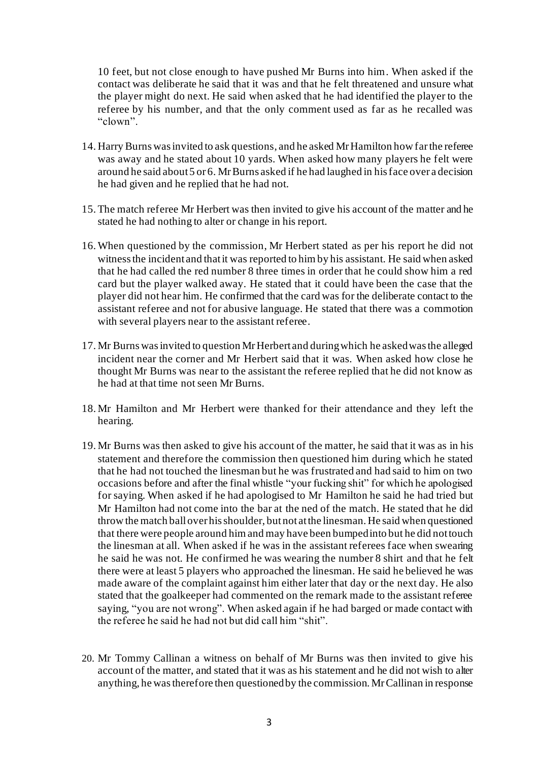10 feet, but not close enough to have pushed Mr Burns into him. When asked if the contact was deliberate he said that it was and that he felt threatened and unsure what the player might do next. He said when asked that he had identified the player to the referee by his number, and that the only comment used as far as he recalled was "clown".

- 14. Harry Burns was invited to ask questions, and he asked Mr Hamilton how far the referee was away and he stated about 10 yards. When asked how many players he felt were around he said about 5 or 6. Mr Burns asked if he had laughed in his face over a decision he had given and he replied that he had not.
- 15.The match referee Mr Herbert was then invited to give his account of the matter and he stated he had nothing to alter or change in his report.
- 16.When questioned by the commission, Mr Herbert stated as per his report he did not witness the incident and that it was reported to him by his assistant. He said when asked that he had called the red number 8 three times in order that he could show him a red card but the player walked away. He stated that it could have been the case that the player did not hear him. He confirmed that the card was for the deliberate contact to the assistant referee and not for abusive language. He stated that there was a commotion with several players near to the assistant referee.
- 17. Mr Burns was invited to question Mr Herbert and during which he asked was the alleged incident near the corner and Mr Herbert said that it was. When asked how close he thought Mr Burns was near to the assistant the referee replied that he did not know as he had at that time not seen Mr Burns.
- 18. Mr Hamilton and Mr Herbert were thanked for their attendance and they left the hearing.
- 19. Mr Burns was then asked to give his account of the matter, he said that it was as in his statement and therefore the commission then questioned him during which he stated that he had not touched the linesman but he was frustrated and had said to him on two occasions before and after the final whistle "your fucking shit" for which he apologised for saying. When asked if he had apologised to Mr Hamilton he said he had tried but Mr Hamilton had not come into the bar at the ned of the match. He stated that he did throw the match ball over his shoulder, but not at the linesman. He said when questioned that there were people around him and may have been bumped into but he did not touch the linesman at all. When asked if he was in the assistant referees face when swearing he said he was not. He confirmed he was wearing the number 8 shirt and that he felt there were at least 5 players who approached the linesman. He said he believed he was made aware of the complaint against him either later that day or the next day. He also stated that the goalkeeper had commented on the remark made to the assistant referee saying, "you are not wrong". When asked again if he had barged or made contact with the referee he said he had not but did call him "shit".
- 20. Mr Tommy Callinan a witness on behalf of Mr Burns was then invited to give his account of the matter, and stated that it was as his statement and he did not wish to alter anything, he was therefore then questioned by the commission. Mr Callinan in response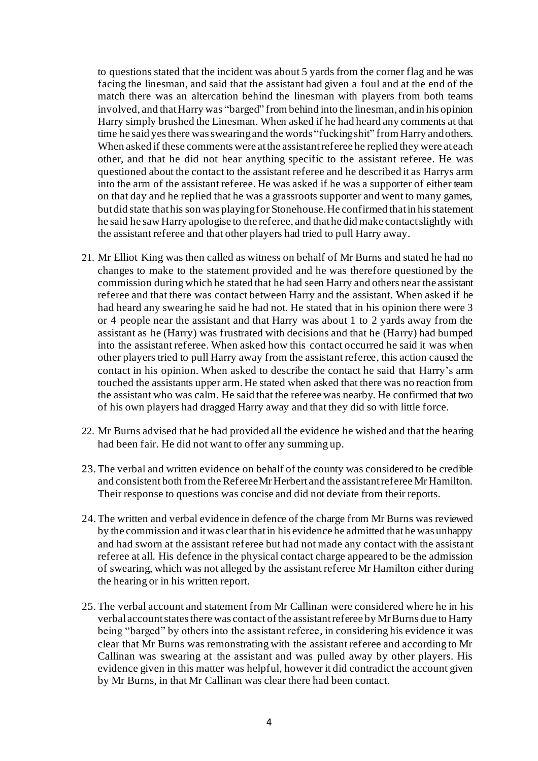to questions stated that the incident was about 5 yards from the corner flag and he was facing the linesman, and said that the assistant had given a foul and at the end of the match there was an altercation behind the linesman with players from both teams involved, and that Harry was "barged" from behind into the linesman, and in his opinion Harry simply brushed the Linesman. When asked if he had heard any comments at that time he said yes there was swearing and the words "fucking shit" from Harry and others. When asked if these comments were at the assistant referee he replied they were at each other, and that he did not hear anything specific to the assistant referee. He was questioned about the contact to the assistant referee and he described it as Harrys arm into the arm of the assistant referee. He was asked if he was a supporter of either team on that day and he replied that he was a grassroots supporter and went to many games, but did state that his son was playing for Stonehouse.He confirmed that in his statement he said he saw Harry apologise to the referee, and that he did make contact slightly with the assistant referee and that other players had tried to pull Harry away.

- 21. Mr Elliot King was then called as witness on behalf of Mr Burns and stated he had no changes to make to the statement provided and he was therefore questioned by the commission during which he stated that he had seen Harry and others near the assistant referee and that there was contact between Harry and the assistant. When asked if he had heard any swearing he said he had not. He stated that in his opinion there were 3 or 4 people near the assistant and that Harry was about 1 to 2 yards away from the assistant as he (Harry) was frustrated with decisions and that he (Harry) had bumped into the assistant referee. When asked how this contact occurred he said it was when other players tried to pull Harry away from the assistant referee, this action caused the contact in his opinion. When asked to describe the contact he said that Harry's arm touched the assistants upper arm. He stated when asked that there was no reaction from the assistant who was calm. He said that the referee was nearby. He confirmed that two of his own players had dragged Harry away and that they did so with little force.
- 22. Mr Burns advised that he had provided all the evidence he wished and that the hearing had been fair. He did not want to offer any summing up.
- 23.The verbal and written evidence on behalf of the county was considered to be credible and consistent both from the Referee Mr Herbert and the assistant referee Mr Hamilton. Their response to questions was concise and did not deviate from their reports.
- 24.The written and verbal evidence in defence of the charge from Mr Burns was reviewed by the commission and it was clear that in his evidence he admitted that he was unhappy and had sworn at the assistant referee but had not made any contact with the assistant referee at all. His defence in the physical contact charge appeared to be the admission of swearing, which was not alleged by the assistant referee Mr Hamilton either during the hearing or in his written report.
- 25.The verbal account and statement from Mr Callinan were considered where he in his verbal account states there was contact of the assistant referee by Mr Burns due to Harry being "barged" by others into the assistant referee, in considering his evidence it was clear that Mr Burns was remonstrating with the assistant referee and according to Mr Callinan was swearing at the assistant and was pulled away by other players. His evidence given in this matter was helpful, however it did contradict the account given by Mr Burns, in that Mr Callinan was clear there had been contact.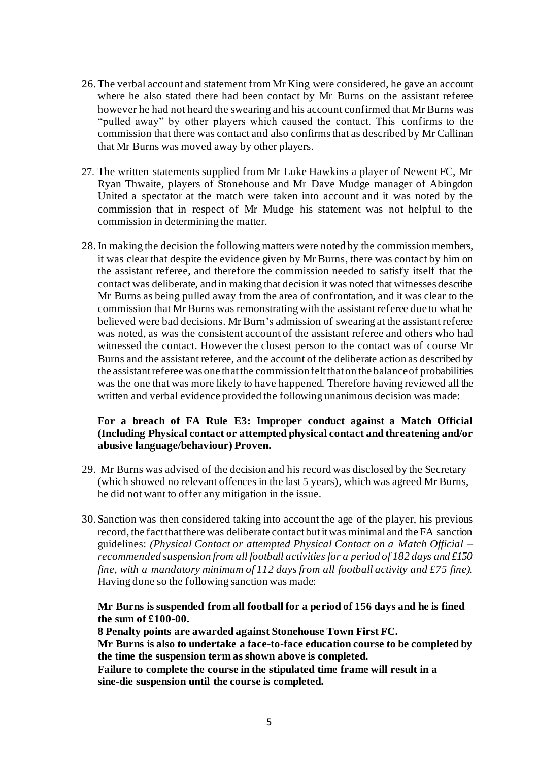- 26.The verbal account and statement from Mr King were considered, he gave an account where he also stated there had been contact by Mr Burns on the assistant referee however he had not heard the swearing and his account confirmed that Mr Burns was "pulled away" by other players which caused the contact. This confirms to the commission that there was contact and also confirmsthat as described by Mr Callinan that Mr Burns was moved away by other players.
- 27. The written statements supplied from Mr Luke Hawkins a player of Newent FC, Mr Ryan Thwaite, players of Stonehouse and Mr Dave Mudge manager of Abingdon United a spectator at the match were taken into account and it was noted by the commission that in respect of Mr Mudge his statement was not helpful to the commission in determining the matter.
- 28.In making the decision the following matters were noted by the commission members, it was clear that despite the evidence given by Mr Burns, there was contact by him on the assistant referee, and therefore the commission needed to satisfy itself that the contact was deliberate, and in making that decision it was noted that witnesses describe Mr Burns as being pulled away from the area of confrontation, and it was clear to the commission that Mr Burns was remonstrating with the assistant referee due to what he believed were bad decisions. Mr Burn's admission of swearing at the assistant referee was noted, as was the consistent account of the assistant referee and others who had witnessed the contact. However the closest person to the contact was of course Mr Burns and the assistant referee, and the account of the deliberate action as described by the assistant referee was one that the commission felt that on the balance of probabilities was the one that was more likely to have happened. Therefore having reviewed all the written and verbal evidence provided the following unanimous decision was made:

#### **For a breach of FA Rule E3: Improper conduct against a Match Official (Including Physical contact or attempted physical contact and threatening and/or abusive language/behaviour) Proven.**

- 29. Mr Burns was advised of the decision and his record was disclosed by the Secretary (which showed no relevant offences in the last 5 years), which was agreed Mr Burns, he did not want to offer any mitigation in the issue.
- 30. Sanction was then considered taking into account the age of the player, his previous record, the fact that there was deliberate contact but it was minimal and the FA sanction guidelines: *(Physical Contact or attempted Physical Contact on a Match Official – recommended suspension from all football activities for a period of 182 days and £150 fine, with a mandatory minimum of 112 days from all football activity and £75 fine).* Having done so the following sanction was made:

### **Mr Burns is suspended from all football for a period of 156 days and he is fined the sum of £100-00.**

**8 Penalty points are awarded against Stonehouse Town First FC.**

**Mr Burns is also to undertake a face-to-face education course to be completed by the time the suspension term as shown above is completed.**

**Failure to complete the course in the stipulated time frame will result in a sine-die suspension until the course is completed.**